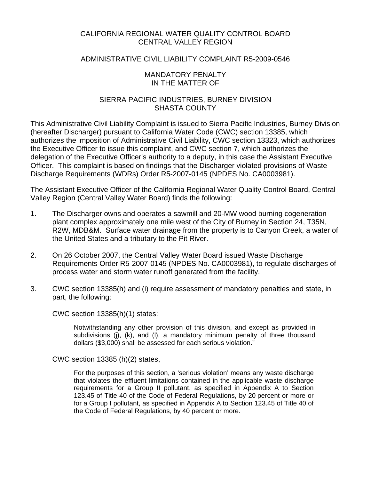## CALIFORNIA REGIONAL WATER QUALITY CONTROL BOARD CENTRAL VALLEY REGION

# ADMINISTRATIVE CIVIL LIABILITY COMPLAINT R5-2009-0546

#### MANDATORY PENALTY IN THE MATTER OF

# SIERRA PACIFIC INDUSTRIES, BURNEY DIVISION SHASTA COUNTY

This Administrative Civil Liability Complaint is issued to Sierra Pacific Industries, Burney Division (hereafter Discharger) pursuant to California Water Code (CWC) section 13385, which authorizes the imposition of Administrative Civil Liability, CWC section 13323, which authorizes the Executive Officer to issue this complaint, and CWC section 7, which authorizes the delegation of the Executive Officer's authority to a deputy, in this case the Assistant Executive Officer. This complaint is based on findings that the Discharger violated provisions of Waste Discharge Requirements (WDRs) Order R5-2007-0145 (NPDES No. CA0003981).

The Assistant Executive Officer of the California Regional Water Quality Control Board, Central Valley Region (Central Valley Water Board) finds the following:

- 1. The Discharger owns and operates a sawmill and 20-MW wood burning cogeneration plant complex approximately one mile west of the City of Burney in Section 24, T35N, R2W, MDB&M. Surface water drainage from the property is to Canyon Creek, a water of the United States and a tributary to the Pit River.
- 2. On 26 October 2007, the Central Valley Water Board issued Waste Discharge Requirements Order R5-2007-0145 (NPDES No. CA0003981), to regulate discharges of process water and storm water runoff generated from the facility.
- 3. CWC section 13385(h) and (i) require assessment of mandatory penalties and state, in part, the following:

CWC section 13385(h)(1) states:

Notwithstanding any other provision of this division, and except as provided in subdivisions (j), (k), and (l), a mandatory minimum penalty of three thousand dollars (\$3,000) shall be assessed for each serious violation."

CWC section 13385 (h)(2) states,

For the purposes of this section, a 'serious violation' means any waste discharge that violates the effluent limitations contained in the applicable waste discharge requirements for a Group II pollutant, as specified in Appendix A to Section 123.45 of Title 40 of the Code of Federal Regulations, by 20 percent or more or for a Group I pollutant, as specified in Appendix A to Section 123.45 of Title 40 of the Code of Federal Regulations, by 40 percent or more.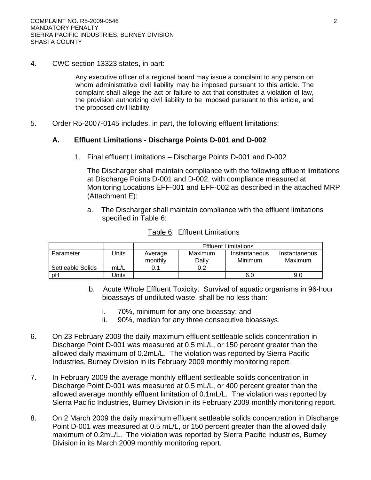4. CWC section 13323 states, in part:

Any executive officer of a regional board may issue a complaint to any person on whom administrative civil liability may be imposed pursuant to this article. The complaint shall allege the act or failure to act that constitutes a violation of law, the provision authorizing civil liability to be imposed pursuant to this article, and the proposed civil liability.

5. Order R5-2007-0145 includes, in part, the following effluent limitations:

# **A. Effluent Limitations - Discharge Points D-001 and D-002**

1. Final effluent Limitations – Discharge Points D-001 and D-002

The Discharger shall maintain compliance with the following effluent limitations at Discharge Points D-001 and D-002, with compliance measured at Monitoring Locations EFF-001 and EFF-002 as described in the attached MRP (Attachment E):

a. The Discharger shall maintain compliance with the effluent limitations specified in Table 6:

|                   |       | <b>Effluent Limitations</b> |         |               |               |
|-------------------|-------|-----------------------------|---------|---------------|---------------|
| Parameter         | Units | Average                     | Maximum | Instantaneous | Instantaneous |
|                   |       | monthly                     | Dailv   | Minimum       | Maximum       |
| Settleable Solids | mL/L  |                             | 0.2     |               |               |
| рH                | Jnits |                             |         | 6.0           | 9.0           |

#### Table 6. Effluent Limitations

- b. Acute Whole Effluent Toxicity. Survival of aquatic organisms in 96-hour bioassays of undiluted waste shall be no less than:
	- i. 70%, minimum for any one bioassay; and
	- ii. 90%, median for any three consecutive bioassays.
- 6. On 23 February 2009 the daily maximum effluent settleable solids concentration in Discharge Point D-001 was measured at 0.5 mL/L, or 150 percent greater than the allowed daily maximum of 0.2mL/L. The violation was reported by Sierra Pacific Industries, Burney Division in its February 2009 monthly monitoring report.
- 7. In February 2009 the average monthly effluent settleable solids concentration in Discharge Point D-001 was measured at 0.5 mL/L, or 400 percent greater than the allowed average monthly effluent limitation of 0.1mL/L. The violation was reported by Sierra Pacific Industries, Burney Division in its February 2009 monthly monitoring report.
- 8. On 2 March 2009 the daily maximum effluent settleable solids concentration in Discharge Point D-001 was measured at 0.5 mL/L, or 150 percent greater than the allowed daily maximum of 0.2mL/L. The violation was reported by Sierra Pacific Industries, Burney Division in its March 2009 monthly monitoring report.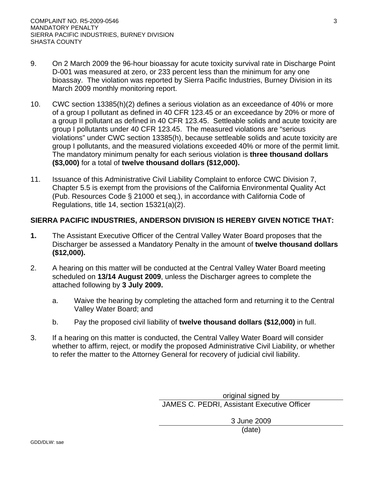- 9. On 2 March 2009 the 96-hour bioassay for acute toxicity survival rate in Discharge Point D-001 was measured at zero, or 233 percent less than the minimum for any one bioassay. The violation was reported by Sierra Pacific Industries, Burney Division in its March 2009 monthly monitoring report.
- 10. CWC section 13385(h)(2) defines a serious violation as an exceedance of 40% or more of a group I pollutant as defined in 40 CFR 123.45 or an exceedance by 20% or more of a group II pollutant as defined in 40 CFR 123.45. Settleable solids and acute toxicity are group I pollutants under 40 CFR 123.45. The measured violations are "serious violations" under CWC section 13385(h), because settleable solids and acute toxicity are group I pollutants, and the measured violations exceeded 40% or more of the permit limit. The mandatory minimum penalty for each serious violation is **three thousand dollars (\$3,000)** for a total of **twelve thousand dollars (\$12,000).**
- 11. Issuance of this Administrative Civil Liability Complaint to enforce CWC Division 7, Chapter 5.5 is exempt from the provisions of the California Environmental Quality Act (Pub. Resources Code § 21000 et seq.), in accordance with California Code of Regulations, title 14, section 15321(a)(2).

# **SIERRA PACIFIC INDUSTRIES, ANDERSON DIVISION IS HEREBY GIVEN NOTICE THAT:**

- **1.** The Assistant Executive Officer of the Central Valley Water Board proposes that the Discharger be assessed a Mandatory Penalty in the amount of **twelve thousand dollars (\$12,000).**
- 2. A hearing on this matter will be conducted at the Central Valley Water Board meeting scheduled on **13/14 August 2009**, unless the Discharger agrees to complete the attached following by **3 July 2009.**
	- a. Waive the hearing by completing the attached form and returning it to the Central Valley Water Board; and
	- b. Pay the proposed civil liability of **twelve thousand dollars (\$12,000)** in full.
- 3. If a hearing on this matter is conducted, the Central Valley Water Board will consider whether to affirm, reject, or modify the proposed Administrative Civil Liability, or whether to refer the matter to the Attorney General for recovery of judicial civil liability.

original signed by JAMES C. PEDRI, Assistant Executive Officer

> 3 June 2009 (date)